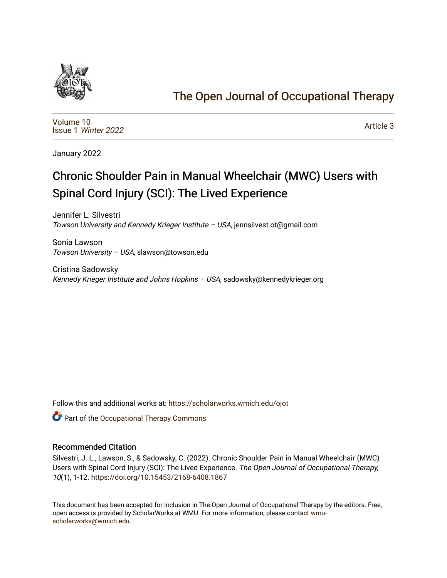

## [The Open Journal of Occupational Therapy](https://scholarworks.wmich.edu/ojot)

[Volume 10](https://scholarworks.wmich.edu/ojot/vol10) Issue 1 [Winter 2022](https://scholarworks.wmich.edu/ojot/vol10/iss1) 

[Article 3](https://scholarworks.wmich.edu/ojot/vol10/iss1/3) 

January 2022

# Chronic Shoulder Pain in Manual Wheelchair (MWC) Users with Spinal Cord Injury (SCI): The Lived Experience

Jennifer L. Silvestri Towson University and Kennedy Krieger Institute – USA, jennsilvest.ot@gmail.com

Sonia Lawson Towson University – USA, slawson@towson.edu

Cristina Sadowsky Kennedy Krieger Institute and Johns Hopkins - USA, sadowsky@kennedykrieger.org

Follow this and additional works at: [https://scholarworks.wmich.edu/ojot](https://scholarworks.wmich.edu/ojot?utm_source=scholarworks.wmich.edu%2Fojot%2Fvol10%2Fiss1%2F3&utm_medium=PDF&utm_campaign=PDFCoverPages)

**C** Part of the Occupational Therapy Commons

#### Recommended Citation

Silvestri, J. L., Lawson, S., & Sadowsky, C. (2022). Chronic Shoulder Pain in Manual Wheelchair (MWC) Users with Spinal Cord Injury (SCI): The Lived Experience. The Open Journal of Occupational Therapy, 10(1), 1-12. <https://doi.org/10.15453/2168-6408.1867>

This document has been accepted for inclusion in The Open Journal of Occupational Therapy by the editors. Free, open access is provided by ScholarWorks at WMU. For more information, please contact [wmu](mailto:wmu-scholarworks@wmich.edu)[scholarworks@wmich.edu.](mailto:wmu-scholarworks@wmich.edu)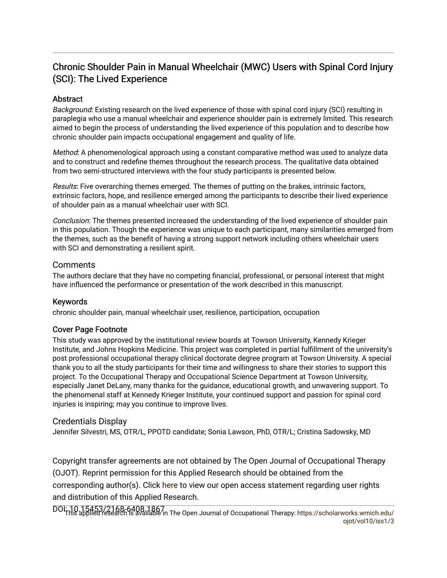## Chronic Shoulder Pain in Manual Wheelchair (MWC) Users with Spinal Cord Injury (SCI): The Lived Experience

#### **Abstract**

Background: Existing research on the lived experience of those with spinal cord injury (SCI) resulting in paraplegia who use a manual wheelchair and experience shoulder pain is extremely limited. This research aimed to begin the process of understanding the lived experience of this population and to describe how chronic shoulder pain impacts occupational engagement and quality of life.

Method: A phenomenological approach using a constant comparative method was used to analyze data and to construct and redefine themes throughout the research process. The qualitative data obtained from two semi-structured interviews with the four study participants is presented below.

Results: Five overarching themes emerged. The themes of putting on the brakes, intrinsic factors, extrinsic factors, hope, and resilience emerged among the participants to describe their lived experience of shoulder pain as a manual wheelchair user with SCI.

Conclusion: The themes presented increased the understanding of the lived experience of shoulder pain in this population. Though the experience was unique to each participant, many similarities emerged from the themes, such as the benefit of having a strong support network including others wheelchair users with SCI and demonstrating a resilient spirit.

#### **Comments**

The authors declare that they have no competing financial, professional, or personal interest that might have influenced the performance or presentation of the work described in this manuscript.

#### Keywords

chronic shoulder pain, manual wheelchair user, resilience, participation, occupation

#### Cover Page Footnote

This study was approved by the institutional review boards at Towson University, Kennedy Krieger Institute, and Johns Hopkins Medicine. This project was completed in partial fulfillment of the university's post professional occupational therapy clinical doctorate degree program at Towson University. A special thank you to all the study participants for their time and willingness to share their stories to support this project. To the Occupational Therapy and Occupational Science Department at Towson University, especially Janet DeLany, many thanks for the guidance, educational growth, and unwavering support. To the phenomenal staff at Kennedy Krieger Institute, your continued support and passion for spinal cord injuries is inspiring; may you continue to improve lives.

#### Credentials Display

Jennifer Silvestri, MS, OTR/L, PPOTD candidate; Sonia Lawson, PhD, OTR/L; Cristina Sadowsky, MD

Copyright transfer agreements are not obtained by The Open Journal of Occupational Therapy (OJOT). Reprint permission for this Applied Research should be obtained from the corresponding author(s). Click [here](https://scholarworks.wmich.edu/ojot/policies.html#rights) to view our open access statement regarding user rights and distribution of this Applied Research.

DOI: 10.15453/2168-6408.1867<br>This abblied research is available in The Open Journal of Occupational Therapy: [https://scholarworks.wmich.edu/](https://scholarworks.wmich.edu/ojot/vol10/iss1/3) [ojot/vol10/iss1/3](https://scholarworks.wmich.edu/ojot/vol10/iss1/3)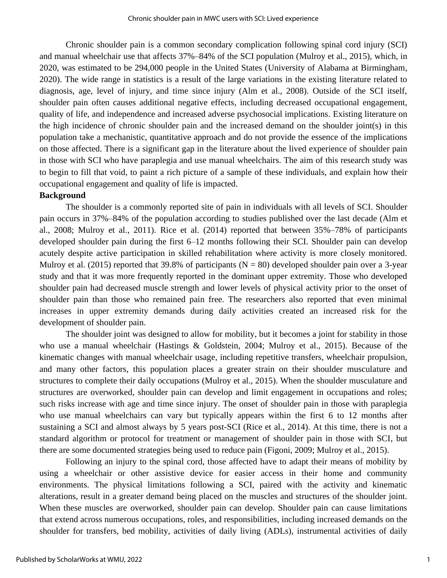Chronic shoulder pain is a common secondary complication following spinal cord injury (SCI) and manual wheelchair use that affects 37%–84% of the SCI population (Mulroy et al., 2015), which, in 2020, was estimated to be 294,000 people in the United States (University of Alabama at Birmingham, 2020). The wide range in statistics is a result of the large variations in the existing literature related to diagnosis, age, level of injury, and time since injury (Alm et al., 2008). Outside of the SCI itself, shoulder pain often causes additional negative effects, including decreased occupational engagement, quality of life, and independence and increased adverse psychosocial implications. Existing literature on the high incidence of chronic shoulder pain and the increased demand on the shoulder joint(s) in this population take a mechanistic, quantitative approach and do not provide the essence of the implications on those affected. There is a significant gap in the literature about the lived experience of shoulder pain in those with SCI who have paraplegia and use manual wheelchairs. The aim of this research study was to begin to fill that void, to paint a rich picture of a sample of these individuals, and explain how their occupational engagement and quality of life is impacted.

#### **Background**

The shoulder is a commonly reported site of pain in individuals with all levels of SCI. Shoulder pain occurs in 37%–84% of the population according to studies published over the last decade (Alm et al., 2008; Mulroy et al., 2011). Rice et al. (2014) reported that between 35%–78% of participants developed shoulder pain during the first 6–12 months following their SCI. Shoulder pain can develop acutely despite active participation in skilled rehabilitation where activity is more closely monitored. Mulroy et al. (2015) reported that 39.8% of participants ( $N = 80$ ) developed shoulder pain over a 3-year study and that it was more frequently reported in the dominant upper extremity. Those who developed shoulder pain had decreased muscle strength and lower levels of physical activity prior to the onset of shoulder pain than those who remained pain free. The researchers also reported that even minimal increases in upper extremity demands during daily activities created an increased risk for the development of shoulder pain.

The shoulder joint was designed to allow for mobility, but it becomes a joint for stability in those who use a manual wheelchair (Hastings & Goldstein, 2004; Mulroy et al., 2015). Because of the kinematic changes with manual wheelchair usage, including repetitive transfers, wheelchair propulsion, and many other factors, this population places a greater strain on their shoulder musculature and structures to complete their daily occupations (Mulroy et al., 2015). When the shoulder musculature and structures are overworked, shoulder pain can develop and limit engagement in occupations and roles; such risks increase with age and time since injury. The onset of shoulder pain in those with paraplegia who use manual wheelchairs can vary but typically appears within the first 6 to 12 months after sustaining a SCI and almost always by 5 years post-SCI (Rice et al., 2014). At this time, there is not a standard algorithm or protocol for treatment or management of shoulder pain in those with SCI, but there are some documented strategies being used to reduce pain (Figoni, 2009; Mulroy et al., 2015).

Following an injury to the spinal cord, those affected have to adapt their means of mobility by using a wheelchair or other assistive device for easier access in their home and community environments. The physical limitations following a SCI, paired with the activity and kinematic alterations, result in a greater demand being placed on the muscles and structures of the shoulder joint. When these muscles are overworked, shoulder pain can develop. Shoulder pain can cause limitations that extend across numerous occupations, roles, and responsibilities, including increased demands on the shoulder for transfers, bed mobility, activities of daily living (ADLs), instrumental activities of daily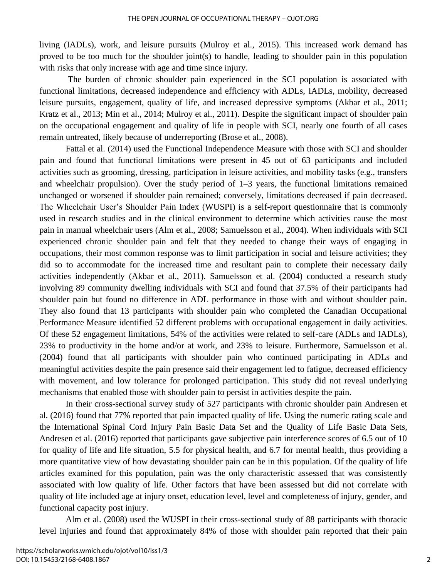living (IADLs), work, and leisure pursuits (Mulroy et al., 2015). This increased work demand has proved to be too much for the shoulder joint(s) to handle, leading to shoulder pain in this population with risks that only increase with age and time since injury.

The burden of chronic shoulder pain experienced in the SCI population is associated with functional limitations, decreased independence and efficiency with ADLs, IADLs, mobility, decreased leisure pursuits, engagement, quality of life, and increased depressive symptoms (Akbar et al., 2011; Kratz et al., 2013; Min et al., 2014; Mulroy et al., 2011). Despite the significant impact of shoulder pain on the occupational engagement and quality of life in people with SCI, nearly one fourth of all cases remain untreated, likely because of underreporting (Brose et al., 2008).

Fattal et al. (2014) used the Functional Independence Measure with those with SCI and shoulder pain and found that functional limitations were present in 45 out of 63 participants and included activities such as grooming, dressing, participation in leisure activities, and mobility tasks (e.g., transfers and wheelchair propulsion). Over the study period of 1–3 years, the functional limitations remained unchanged or worsened if shoulder pain remained; conversely, limitations decreased if pain decreased. The Wheelchair User's Shoulder Pain Index (WUSPI) is a self-report questionnaire that is commonly used in research studies and in the clinical environment to determine which activities cause the most pain in manual wheelchair users (Alm et al., 2008; Samuelsson et al., 2004). When individuals with SCI experienced chronic shoulder pain and felt that they needed to change their ways of engaging in occupations, their most common response was to limit participation in social and leisure activities; they did so to accommodate for the increased time and resultant pain to complete their necessary daily activities independently (Akbar et al., 2011). Samuelsson et al. (2004) conducted a research study involving 89 community dwelling individuals with SCI and found that 37.5% of their participants had shoulder pain but found no difference in ADL performance in those with and without shoulder pain. They also found that 13 participants with shoulder pain who completed the Canadian Occupational Performance Measure identified 52 different problems with occupational engagement in daily activities. Of these 52 engagement limitations, 54% of the activities were related to self-care (ADLs and IADLs), 23% to productivity in the home and/or at work, and 23% to leisure. Furthermore, Samuelsson et al. (2004) found that all participants with shoulder pain who continued participating in ADLs and meaningful activities despite the pain presence said their engagement led to fatigue, decreased efficiency with movement, and low tolerance for prolonged participation. This study did not reveal underlying mechanisms that enabled those with shoulder pain to persist in activities despite the pain.

In their cross-sectional survey study of 527 participants with chronic shoulder pain Andresen et al. (2016) found that 77% reported that pain impacted quality of life. Using the numeric rating scale and the International Spinal Cord Injury Pain Basic Data Set and the Quality of Life Basic Data Sets, Andresen et al. (2016) reported that participants gave subjective pain interference scores of 6.5 out of 10 for quality of life and life situation, 5.5 for physical health, and 6.7 for mental health, thus providing a more quantitative view of how devastating shoulder pain can be in this population. Of the quality of life articles examined for this population, pain was the only characteristic assessed that was consistently associated with low quality of life. Other factors that have been assessed but did not correlate with quality of life included age at injury onset, education level, level and completeness of injury, gender, and functional capacity post injury.

Alm et al. (2008) used the WUSPI in their cross-sectional study of 88 participants with thoracic level injuries and found that approximately 84% of those with shoulder pain reported that their pain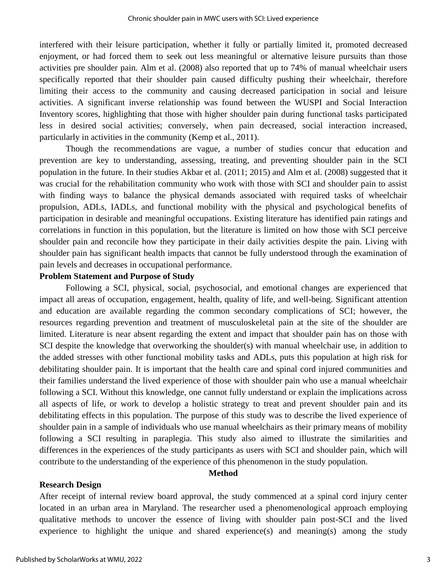interfered with their leisure participation, whether it fully or partially limited it, promoted decreased enjoyment, or had forced them to seek out less meaningful or alternative leisure pursuits than those activities pre shoulder pain. Alm et al. (2008) also reported that up to 74% of manual wheelchair users specifically reported that their shoulder pain caused difficulty pushing their wheelchair, therefore limiting their access to the community and causing decreased participation in social and leisure activities. A significant inverse relationship was found between the WUSPI and Social Interaction Inventory scores, highlighting that those with higher shoulder pain during functional tasks participated less in desired social activities; conversely, when pain decreased, social interaction increased, particularly in activities in the community (Kemp et al., 2011).

Though the recommendations are vague, a number of studies concur that education and prevention are key to understanding, assessing, treating, and preventing shoulder pain in the SCI population in the future. In their studies Akbar et al. (2011; 2015) and Alm et al. (2008) suggested that it was crucial for the rehabilitation community who work with those with SCI and shoulder pain to assist with finding ways to balance the physical demands associated with required tasks of wheelchair propulsion, ADLs, IADLs, and functional mobility with the physical and psychological benefits of participation in desirable and meaningful occupations. Existing literature has identified pain ratings and correlations in function in this population, but the literature is limited on how those with SCI perceive shoulder pain and reconcile how they participate in their daily activities despite the pain. Living with shoulder pain has significant health impacts that cannot be fully understood through the examination of pain levels and decreases in occupational performance.

#### **Problem Statement and Purpose of Study**

Following a SCI, physical, social, psychosocial, and emotional changes are experienced that impact all areas of occupation, engagement, health, quality of life, and well-being. Significant attention and education are available regarding the common secondary complications of SCI; however, the resources regarding prevention and treatment of musculoskeletal pain at the site of the shoulder are limited. Literature is near absent regarding the extent and impact that shoulder pain has on those with SCI despite the knowledge that overworking the shoulder(s) with manual wheelchair use, in addition to the added stresses with other functional mobility tasks and ADLs, puts this population at high risk for debilitating shoulder pain. It is important that the health care and spinal cord injured communities and their families understand the lived experience of those with shoulder pain who use a manual wheelchair following a SCI. Without this knowledge, one cannot fully understand or explain the implications across all aspects of life, or work to develop a holistic strategy to treat and prevent shoulder pain and its debilitating effects in this population. The purpose of this study was to describe the lived experience of shoulder pain in a sample of individuals who use manual wheelchairs as their primary means of mobility following a SCI resulting in paraplegia. This study also aimed to illustrate the similarities and differences in the experiences of the study participants as users with SCI and shoulder pain, which will contribute to the understanding of the experience of this phenomenon in the study population.

#### **Method**

#### **Research Design**

After receipt of internal review board approval, the study commenced at a spinal cord injury center located in an urban area in Maryland. The researcher used a phenomenological approach employing qualitative methods to uncover the essence of living with shoulder pain post-SCI and the lived experience to highlight the unique and shared experience(s) and meaning(s) among the study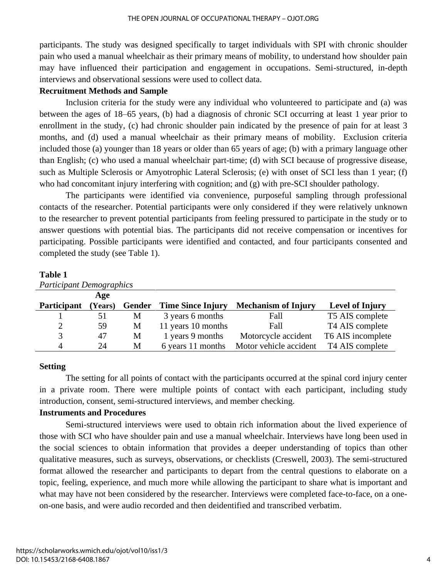participants. The study was designed specifically to target individuals with SPI with chronic shoulder pain who used a manual wheelchair as their primary means of mobility, to understand how shoulder pain may have influenced their participation and engagement in occupations. Semi-structured, in-depth interviews and observational sessions were used to collect data.

#### **Recruitment Methods and Sample**

Inclusion criteria for the study were any individual who volunteered to participate and (a) was between the ages of 18–65 years, (b) had a diagnosis of chronic SCI occurring at least 1 year prior to enrollment in the study, (c) had chronic shoulder pain indicated by the presence of pain for at least 3 months, and (d) used a manual wheelchair as their primary means of mobility. Exclusion criteria included those (a) younger than 18 years or older than 65 years of age; (b) with a primary language other than English; (c) who used a manual wheelchair part-time; (d) with SCI because of progressive disease, such as Multiple Sclerosis or Amyotrophic Lateral Sclerosis; (e) with onset of SCI less than 1 year; (f) who had concomitant injury interfering with cognition; and (g) with pre-SCI shoulder pathology.

The participants were identified via convenience, purposeful sampling through professional contacts of the researcher. Potential participants were only considered if they were relatively unknown to the researcher to prevent potential participants from feeling pressured to participate in the study or to answer questions with potential bias. The participants did not receive compensation or incentives for participating. Possible participants were identified and contacted, and four participants consented and completed the study (see Table 1).

#### **Table 1**

| <b>Participant Demographics</b> |         |        |                          |                            |                        |  |  |  |  |  |  |  |
|---------------------------------|---------|--------|--------------------------|----------------------------|------------------------|--|--|--|--|--|--|--|
|                                 | Age     |        |                          |                            |                        |  |  |  |  |  |  |  |
| <b>Participant</b>              | (Years) | Gender | <b>Time Since Injury</b> | <b>Mechanism of Injury</b> | <b>Level of Injury</b> |  |  |  |  |  |  |  |
|                                 | 51      | M      | 3 years 6 months         | Fall                       | T5 AIS complete        |  |  |  |  |  |  |  |
| $\overline{2}$                  | 59      | M      | 11 years 10 months       | Fall                       | T4 AIS complete        |  |  |  |  |  |  |  |
| 3                               | 47      | M      | 1 years 9 months         | Motorcycle accident        | T6 AIS incomplete      |  |  |  |  |  |  |  |
| $\overline{4}$                  | 24      | M      | 6 years 11 months        | Motor vehicle accident     | T4 AIS complete        |  |  |  |  |  |  |  |

#### **Setting**

The setting for all points of contact with the participants occurred at the spinal cord injury center in a private room. There were multiple points of contact with each participant, including study introduction, consent, semi-structured interviews, and member checking.

#### **Instruments and Procedures**

Semi-structured interviews were used to obtain rich information about the lived experience of those with SCI who have shoulder pain and use a manual wheelchair. Interviews have long been used in the social sciences to obtain information that provides a deeper understanding of topics than other qualitative measures, such as surveys, observations, or checklists (Creswell, 2003). The semi-structured format allowed the researcher and participants to depart from the central questions to elaborate on a topic, feeling, experience, and much more while allowing the participant to share what is important and what may have not been considered by the researcher. Interviews were completed face-to-face, on a oneon-one basis, and were audio recorded and then deidentified and transcribed verbatim.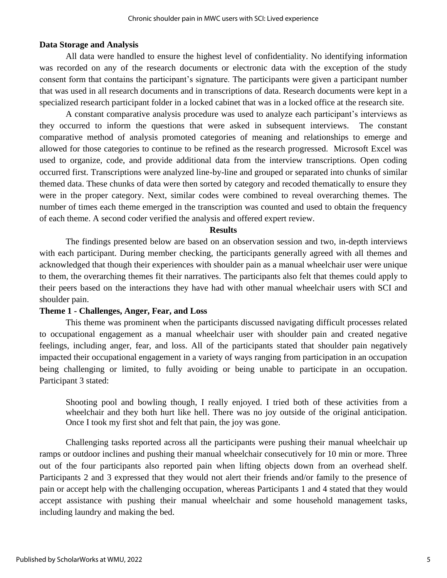#### **Data Storage and Analysis**

All data were handled to ensure the highest level of confidentiality. No identifying information was recorded on any of the research documents or electronic data with the exception of the study consent form that contains the participant's signature. The participants were given a participant number that was used in all research documents and in transcriptions of data. Research documents were kept in a specialized research participant folder in a locked cabinet that was in a locked office at the research site.

A constant comparative analysis procedure was used to analyze each participant's interviews as they occurred to inform the questions that were asked in subsequent interviews. The constant comparative method of analysis promoted categories of meaning and relationships to emerge and allowed for those categories to continue to be refined as the research progressed. Microsoft Excel was used to organize, code, and provide additional data from the interview transcriptions. Open coding occurred first. Transcriptions were analyzed line-by-line and grouped or separated into chunks of similar themed data. These chunks of data were then sorted by category and recoded thematically to ensure they were in the proper category. Next, similar codes were combined to reveal overarching themes. The number of times each theme emerged in the transcription was counted and used to obtain the frequency of each theme. A second coder verified the analysis and offered expert review.

#### **Results**

The findings presented below are based on an observation session and two, in-depth interviews with each participant. During member checking, the participants generally agreed with all themes and acknowledged that though their experiences with shoulder pain as a manual wheelchair user were unique to them, the overarching themes fit their narratives. The participants also felt that themes could apply to their peers based on the interactions they have had with other manual wheelchair users with SCI and shoulder pain.

#### **Theme 1 - Challenges, Anger, Fear, and Loss**

This theme was prominent when the participants discussed navigating difficult processes related to occupational engagement as a manual wheelchair user with shoulder pain and created negative feelings, including anger, fear, and loss. All of the participants stated that shoulder pain negatively impacted their occupational engagement in a variety of ways ranging from participation in an occupation being challenging or limited, to fully avoiding or being unable to participate in an occupation. Participant 3 stated:

Shooting pool and bowling though, I really enjoyed. I tried both of these activities from a wheelchair and they both hurt like hell. There was no joy outside of the original anticipation. Once I took my first shot and felt that pain, the joy was gone.

Challenging tasks reported across all the participants were pushing their manual wheelchair up ramps or outdoor inclines and pushing their manual wheelchair consecutively for 10 min or more. Three out of the four participants also reported pain when lifting objects down from an overhead shelf. Participants 2 and 3 expressed that they would not alert their friends and/or family to the presence of pain or accept help with the challenging occupation, whereas Participants 1 and 4 stated that they would accept assistance with pushing their manual wheelchair and some household management tasks, including laundry and making the bed.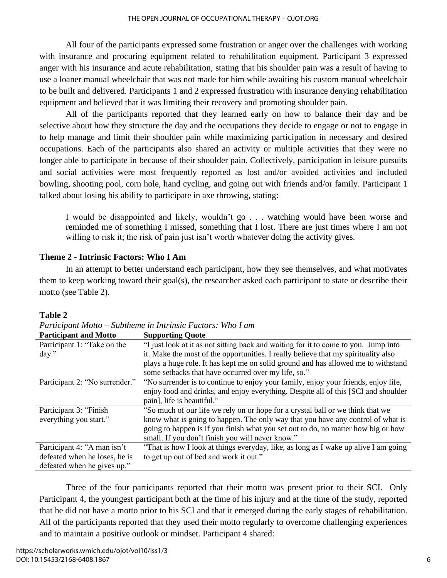All four of the participants expressed some frustration or anger over the challenges with working with insurance and procuring equipment related to rehabilitation equipment. Participant 3 expressed anger with his insurance and acute rehabilitation, stating that his shoulder pain was a result of having to use a loaner manual wheelchair that was not made for him while awaiting his custom manual wheelchair to be built and delivered. Participants 1 and 2 expressed frustration with insurance denying rehabilitation equipment and believed that it was limiting their recovery and promoting shoulder pain.

All of the participants reported that they learned early on how to balance their day and be selective about how they structure the day and the occupations they decide to engage or not to engage in to help manage and limit their shoulder pain while maximizing participation in necessary and desired occupations. Each of the participants also shared an activity or multiple activities that they were no longer able to participate in because of their shoulder pain. Collectively, participation in leisure pursuits and social activities were most frequently reported as lost and/or avoided activities and included bowling, shooting pool, corn hole, hand cycling, and going out with friends and/or family. Participant 1 talked about losing his ability to participate in axe throwing, stating:

I would be disappointed and likely, wouldn't go . . . watching would have been worse and reminded me of something I missed, something that I lost. There are just times where I am not willing to risk it; the risk of pain just isn't worth whatever doing the activity gives.

### **Theme 2 - Intrinsic Factors: Who I Am**

In an attempt to better understand each participant, how they see themselves, and what motivates them to keep working toward their goal(s), the researcher asked each participant to state or describe their motto (see Table 2).

| <b>Participant and Motto</b>   | <b>Supporting Quote</b>                                                             |  |  |  |
|--------------------------------|-------------------------------------------------------------------------------------|--|--|--|
| Participant 1: "Take on the    | "I just look at it as not sitting back and waiting for it to come to you. Jump into |  |  |  |
| day."                          | it. Make the most of the opportunities. I really believe that my spirituality also  |  |  |  |
|                                | plays a huge role. It has kept me on solid ground and has allowed me to withstand   |  |  |  |
|                                | some setbacks that have occurred over my life, so."                                 |  |  |  |
| Participant 2: "No surrender." | "No surrender is to continue to enjoy your family, enjoy your friends, enjoy life,  |  |  |  |
|                                | enjoy food and drinks, and enjoy everything. Despite all of this [SCI and shoulder  |  |  |  |
|                                | pain], life is beautiful."                                                          |  |  |  |
| Participant 3: "Finish"        | "So much of our life we rely on or hope for a crystal ball or we think that we      |  |  |  |
| everything you start."         | know what is going to happen. The only way that you have any control of what is     |  |  |  |
|                                | going to happen is if you finish what you set out to do, no matter how big or how   |  |  |  |
|                                | small. If you don't finish you will never know."                                    |  |  |  |
| Participant 4: "A man isn't    | "That is how I look at things everyday, like, as long as I wake up alive I am going |  |  |  |
| defeated when he loses, he is  | to get up out of bed and work it out."                                              |  |  |  |
| defeated when he gives up."    |                                                                                     |  |  |  |

**Table 2**

| Participant Motto – Subtheme in Intrinsic Factors: Who I am |  |  |  |
|-------------------------------------------------------------|--|--|--|
|                                                             |  |  |  |

Three of the four participants reported that their motto was present prior to their SCI. Only Participant 4, the youngest participant both at the time of his injury and at the time of the study, reported that he did not have a motto prior to his SCI and that it emerged during the early stages of rehabilitation. All of the participants reported that they used their motto regularly to overcome challenging experiences and to maintain a positive outlook or mindset. Participant 4 shared: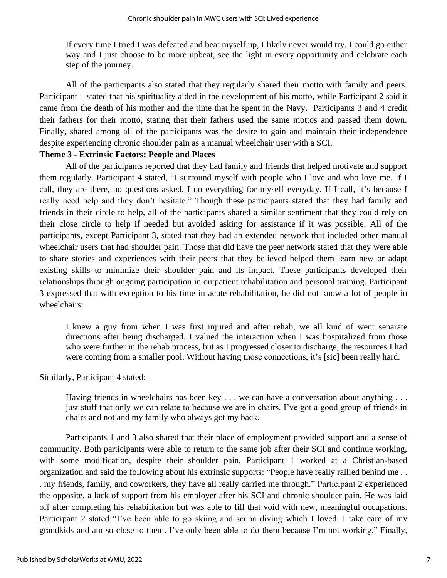If every time I tried I was defeated and beat myself up, I likely never would try. I could go either way and I just choose to be more upbeat, see the light in every opportunity and celebrate each step of the journey.

All of the participants also stated that they regularly shared their motto with family and peers. Participant 1 stated that his spirituality aided in the development of his motto, while Participant 2 said it came from the death of his mother and the time that he spent in the Navy. Participants 3 and 4 credit their fathers for their motto, stating that their fathers used the same mottos and passed them down. Finally, shared among all of the participants was the desire to gain and maintain their independence despite experiencing chronic shoulder pain as a manual wheelchair user with a SCI.

#### **Theme 3 - Extrinsic Factors: People and Places**

All of the participants reported that they had family and friends that helped motivate and support them regularly. Participant 4 stated, "I surround myself with people who I love and who love me. If I call, they are there, no questions asked. I do everything for myself everyday. If I call, it's because I really need help and they don't hesitate." Though these participants stated that they had family and friends in their circle to help, all of the participants shared a similar sentiment that they could rely on their close circle to help if needed but avoided asking for assistance if it was possible. All of the participants, except Participant 3, stated that they had an extended network that included other manual wheelchair users that had shoulder pain. Those that did have the peer network stated that they were able to share stories and experiences with their peers that they believed helped them learn new or adapt existing skills to minimize their shoulder pain and its impact. These participants developed their relationships through ongoing participation in outpatient rehabilitation and personal training. Participant 3 expressed that with exception to his time in acute rehabilitation, he did not know a lot of people in wheelchairs:

I knew a guy from when I was first injured and after rehab, we all kind of went separate directions after being discharged. I valued the interaction when I was hospitalized from those who were further in the rehab process, but as I progressed closer to discharge, the resources I had were coming from a smaller pool. Without having those connections, it's [sic] been really hard.

#### Similarly, Participant 4 stated:

Having friends in wheelchairs has been key . . . we can have a conversation about anything . . . just stuff that only we can relate to because we are in chairs. I've got a good group of friends in chairs and not and my family who always got my back.

Participants 1 and 3 also shared that their place of employment provided support and a sense of community. Both participants were able to return to the same job after their SCI and continue working, with some modification, despite their shoulder pain. Participant 1 worked at a Christian-based organization and said the following about his extrinsic supports: "People have really rallied behind me . . . my friends, family, and coworkers, they have all really carried me through." Participant 2 experienced the opposite, a lack of support from his employer after his SCI and chronic shoulder pain. He was laid off after completing his rehabilitation but was able to fill that void with new, meaningful occupations. Participant 2 stated "I've been able to go skiing and scuba diving which I loved. I take care of my grandkids and am so close to them. I've only been able to do them because I'm not working." Finally,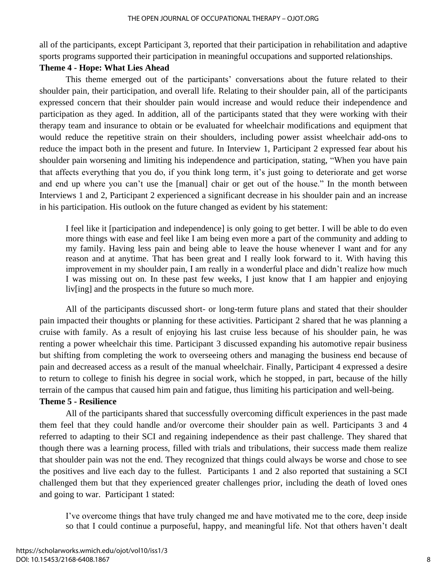all of the participants, except Participant 3, reported that their participation in rehabilitation and adaptive sports programs supported their participation in meaningful occupations and supported relationships.

#### **Theme 4 - Hope: What Lies Ahead**

This theme emerged out of the participants' conversations about the future related to their shoulder pain, their participation, and overall life. Relating to their shoulder pain, all of the participants expressed concern that their shoulder pain would increase and would reduce their independence and participation as they aged. In addition, all of the participants stated that they were working with their therapy team and insurance to obtain or be evaluated for wheelchair modifications and equipment that would reduce the repetitive strain on their shoulders, including power assist wheelchair add-ons to reduce the impact both in the present and future. In Interview 1, Participant 2 expressed fear about his shoulder pain worsening and limiting his independence and participation, stating, "When you have pain that affects everything that you do, if you think long term, it's just going to deteriorate and get worse and end up where you can't use the [manual] chair or get out of the house." In the month between Interviews 1 and 2, Participant 2 experienced a significant decrease in his shoulder pain and an increase in his participation. His outlook on the future changed as evident by his statement:

I feel like it [participation and independence] is only going to get better. I will be able to do even more things with ease and feel like I am being even more a part of the community and adding to my family. Having less pain and being able to leave the house whenever I want and for any reason and at anytime. That has been great and I really look forward to it. With having this improvement in my shoulder pain, I am really in a wonderful place and didn't realize how much I was missing out on. In these past few weeks, I just know that I am happier and enjoying liv[ing] and the prospects in the future so much more.

All of the participants discussed short- or long-term future plans and stated that their shoulder pain impacted their thoughts or planning for these activities. Participant 2 shared that he was planning a cruise with family. As a result of enjoying his last cruise less because of his shoulder pain, he was renting a power wheelchair this time. Participant 3 discussed expanding his automotive repair business but shifting from completing the work to overseeing others and managing the business end because of pain and decreased access as a result of the manual wheelchair. Finally, Participant 4 expressed a desire to return to college to finish his degree in social work, which he stopped, in part, because of the hilly terrain of the campus that caused him pain and fatigue, thus limiting his participation and well-being.

### **Theme 5 - Resilience**

All of the participants shared that successfully overcoming difficult experiences in the past made them feel that they could handle and/or overcome their shoulder pain as well. Participants 3 and 4 referred to adapting to their SCI and regaining independence as their past challenge. They shared that though there was a learning process, filled with trials and tribulations, their success made them realize that shoulder pain was not the end. They recognized that things could always be worse and chose to see the positives and live each day to the fullest. Participants 1 and 2 also reported that sustaining a SCI challenged them but that they experienced greater challenges prior, including the death of loved ones and going to war. Participant 1 stated:

I've overcome things that have truly changed me and have motivated me to the core, deep inside so that I could continue a purposeful, happy, and meaningful life. Not that others haven't dealt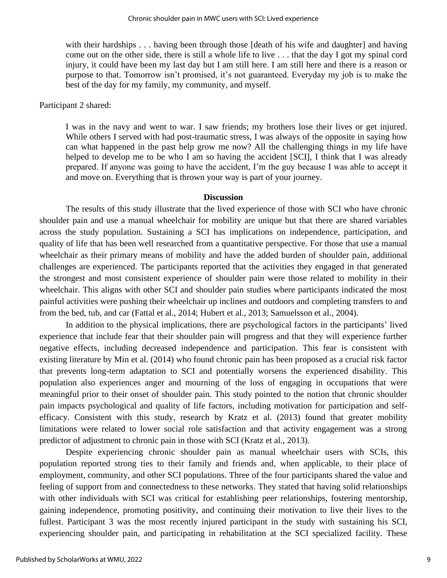with their hardships . . . having been through those [death of his wife and daughter] and having come out on the other side, there is still a whole life to live . . . that the day I got my spinal cord injury, it could have been my last day but I am still here. I am still here and there is a reason or purpose to that. Tomorrow isn't promised, it's not guaranteed. Everyday my job is to make the best of the day for my family, my community, and myself.

#### Participant 2 shared:

I was in the navy and went to war. I saw friends; my brothers lose their lives or get injured. While others I served with had post-traumatic stress, I was always of the opposite in saying how can what happened in the past help grow me now? All the challenging things in my life have helped to develop me to be who I am so having the accident [SCI], I think that I was already prepared. If anyone was going to have the accident, I'm the guy because I was able to accept it and move on. Everything that is thrown your way is part of your journey.

#### **Discussion**

The results of this study illustrate that the lived experience of those with SCI who have chronic shoulder pain and use a manual wheelchair for mobility are unique but that there are shared variables across the study population. Sustaining a SCI has implications on independence, participation, and quality of life that has been well researched from a quantitative perspective. For those that use a manual wheelchair as their primary means of mobility and have the added burden of shoulder pain, additional challenges are experienced. The participants reported that the activities they engaged in that generated the strongest and most consistent experience of shoulder pain were those related to mobility in their wheelchair. This aligns with other SCI and shoulder pain studies where participants indicated the most painful activities were pushing their wheelchair up inclines and outdoors and completing transfers to and from the bed, tub, and car (Fattal et al., 2014; Hubert et al., 2013; Samuelsson et al., 2004).

In addition to the physical implications, there are psychological factors in the participants' lived experience that include fear that their shoulder pain will progress and that they will experience further negative effects, including decreased independence and participation. This fear is consistent with existing literature by Min et al. (2014) who found chronic pain has been proposed as a crucial risk factor that prevents long-term adaptation to SCI and potentially worsens the experienced disability. This population also experiences anger and mourning of the loss of engaging in occupations that were meaningful prior to their onset of shoulder pain. This study pointed to the notion that chronic shoulder pain impacts psychological and quality of life factors, including motivation for participation and selfefficacy. Consistent with this study, research by Kratz et al. (2013) found that greater mobility limitations were related to lower social role satisfaction and that activity engagement was a strong predictor of adjustment to chronic pain in those with SCI (Kratz et al., 2013).

Despite experiencing chronic shoulder pain as manual wheelchair users with SCIs, this population reported strong ties to their family and friends and, when applicable, to their place of employment, community, and other SCI populations. Three of the four participants shared the value and feeling of support from and connectedness to these networks. They stated that having solid relationships with other individuals with SCI was critical for establishing peer relationships, fostering mentorship, gaining independence, promoting positivity, and continuing their motivation to live their lives to the fullest. Participant 3 was the most recently injured participant in the study with sustaining his SCI, experiencing shoulder pain, and participating in rehabilitation at the SCI specialized facility. These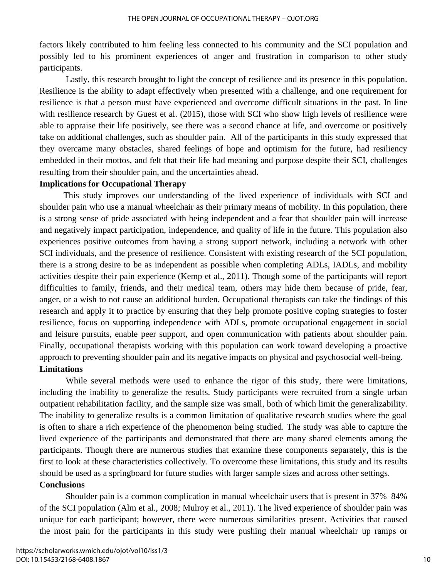factors likely contributed to him feeling less connected to his community and the SCI population and possibly led to his prominent experiences of anger and frustration in comparison to other study participants.

Lastly, this research brought to light the concept of resilience and its presence in this population. Resilience is the ability to adapt effectively when presented with a challenge, and one requirement for resilience is that a person must have experienced and overcome difficult situations in the past. In line with resilience research by Guest et al. (2015), those with SCI who show high levels of resilience were able to appraise their life positively, see there was a second chance at life, and overcome or positively take on additional challenges, such as shoulder pain. All of the participants in this study expressed that they overcame many obstacles, shared feelings of hope and optimism for the future, had resiliency embedded in their mottos, and felt that their life had meaning and purpose despite their SCI, challenges resulting from their shoulder pain, and the uncertainties ahead.

#### **Implications for Occupational Therapy**

This study improves our understanding of the lived experience of individuals with SCI and shoulder pain who use a manual wheelchair as their primary means of mobility. In this population, there is a strong sense of pride associated with being independent and a fear that shoulder pain will increase and negatively impact participation, independence, and quality of life in the future. This population also experiences positive outcomes from having a strong support network, including a network with other SCI individuals, and the presence of resilience. Consistent with existing research of the SCI population, there is a strong desire to be as independent as possible when completing ADLs, IADLs, and mobility activities despite their pain experience (Kemp et al., 2011). Though some of the participants will report difficulties to family, friends, and their medical team, others may hide them because of pride, fear, anger, or a wish to not cause an additional burden. Occupational therapists can take the findings of this research and apply it to practice by ensuring that they help promote positive coping strategies to foster resilience, focus on supporting independence with ADLs, promote occupational engagement in social and leisure pursuits, enable peer support, and open communication with patients about shoulder pain. Finally, occupational therapists working with this population can work toward developing a proactive approach to preventing shoulder pain and its negative impacts on physical and psychosocial well-being. **Limitations**

While several methods were used to enhance the rigor of this study, there were limitations, including the inability to generalize the results. Study participants were recruited from a single urban outpatient rehabilitation facility, and the sample size was small, both of which limit the generalizability. The inability to generalize results is a common limitation of qualitative research studies where the goal is often to share a rich experience of the phenomenon being studied. The study was able to capture the lived experience of the participants and demonstrated that there are many shared elements among the participants. Though there are numerous studies that examine these components separately, this is the first to look at these characteristics collectively. To overcome these limitations, this study and its results should be used as a springboard for future studies with larger sample sizes and across other settings. **Conclusions**

Shoulder pain is a common complication in manual wheelchair users that is present in 37%–84% of the SCI population (Alm et al., 2008; Mulroy et al., 2011). The lived experience of shoulder pain was unique for each participant; however, there were numerous similarities present. Activities that caused the most pain for the participants in this study were pushing their manual wheelchair up ramps or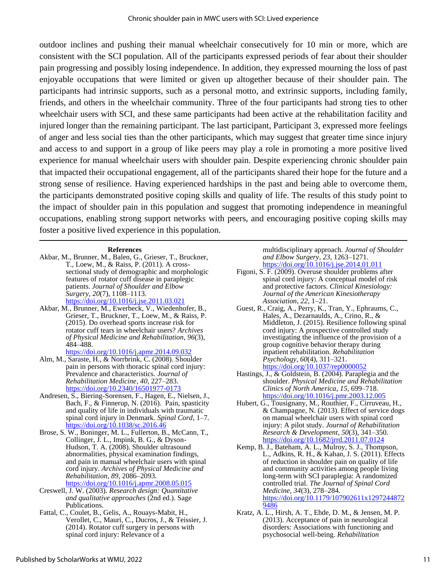outdoor inclines and pushing their manual wheelchair consecutively for 10 min or more, which are consistent with the SCI population. All of the participants expressed periods of fear about their shoulder pain progressing and possibly losing independence. In addition, they expressed mourning the loss of past enjoyable occupations that were limited or given up altogether because of their shoulder pain. The participants had intrinsic supports, such as a personal motto, and extrinsic supports, including family, friends, and others in the wheelchair community. Three of the four participants had strong ties to other wheelchair users with SCI, and these same participants had been active at the rehabilitation facility and injured longer than the remaining participant. The last participant, Participant 3, expressed more feelings of anger and less social ties than the other participants, which may suggest that greater time since injury and access to and support in a group of like peers may play a role in promoting a more positive lived experience for manual wheelchair users with shoulder pain. Despite experiencing chronic shoulder pain that impacted their occupational engagement, all of the participants shared their hope for the future and a strong sense of resilience. Having experienced hardships in the past and being able to overcome them, the participants demonstrated positive coping skills and quality of life. The results of this study point to the impact of shoulder pain in this population and suggest that promoting independence in meaningful occupations, enabling strong support networks with peers, and encouraging positive coping skills may foster a positive lived experience in this population.

#### **References**

- Akbar, M., Brunner, M., Balen, G., Grieser, T., Bruckner, T., Loew, M., & Raiss, P. (2011). A crosssectional study of demographic and morphologic features of rotator cuff disease in paraplegic patients. *Journal of Shoulder and Elbow Surgery*, *20*(7), 1108–1113. <https://doi.org/10.1016/j.jse.2011.03.021>
- Akbar, M., Brunner, M., Ewerbeck, V., Wiedenhofer, B., Grieser, T., Bruckner, T., Loew, M., & Raiss, P. (2015). Do overhead sports increase risk for rotator cuff tears in wheelchair users? *Archives of Physical Medicine and Rehabilitation*, *96*(3), 484–488.

<https://doi.org/10.1016/j.apmr.2014.09.032>

- Alm, M., Saraste, H., & Norrbrink, C. (2008). Shoulder pain in persons with thoracic spinal cord injury: Prevalence and characteristics. *Journal of Rehabilitation Medicine*, *40*, 227–283. <https://doi.org/10.2340/16501977-0173>
- Andresen, S., Biering-Sorensen, F., Hagen, E., Nielsen, J., Bach, F., & Finnerup, N. (2016). Pain, spasticity and quality of life in individuals with traumatic spinal cord injury in Denmark. *Spinal Cord*, 1–7. <https://doi.org/10.1038/sc.2016.46>
- Brose, S. W., Boninger, M. L., Fullerton, B., McCann, T., Collinger, J. L., Impink, B. G., & Dyson-Hudson, T. A. (2008). Shoulder ultrasound abnormalities, physical examination findings, and pain in manual wheelchair users with spinal cord injury. *Archives of Physical Medicine and Rehabilitation*, *89*, 2086–2093.

<https://doi.org/10.1016/j.apmr.2008.05.015>

- Creswell, J. W. (2003). *Research design: Quantitative and qualitative approaches* (2nd ed.). Sage Publications.
- Fattal, C., Coulet, B., Gelis, A., Rouays-Mabit, H., Verollet, C., Mauri, C., Ducros, J., & Teissier, J. (2014). Rotator cuff surgery in persons with spinal cord injury: Relevance of a

multidisciplinary approach. *Journal of Shoulder and Elbow Surgery*, *23*, 1263–1271. <https://doi.org/10.1016/j.jse.2014.01.011>

- Figoni, S. F. (2009). Overuse shoulder problems after spinal cord injury: A conceptual model of risk and protective factors. *Clinical Kinesiology: Journal of the American Kinesiotherapy Association*, *22*, 1–21.
- Guest, R., Craig, A., Perry, K., Tran, Y., Ephraums, C., Hales, A., Dezarnaulds, A., Crino, R., & Middleton, J. (2015). Resilience following spinal cord injury: A prospective controlled study investigating the influence of the provision of a group cognitive behavior therapy during inpatient rehabilitation. *Rehabilitation Psychology*, *60*(4), 311–321. <https://doi.org/10.1037/rep0000052>
- Hastings, J., & Goldstein, B. (2004). Paraplegia and the shoulder. *Physical Medicine and Rehabilitation Clinics of North America*, *15*, 699–718. <https://doi.org/10.1016/j.pmr.2003.12.005>
- Hubert, G., Tousignany, M., Routhier, F., Cirruveau, H., & Champagne, N. (2013). Effect of service dogs on manual wheelchair users with spinal cord injury: A pilot study. *Journal of Rehabilitation Research & Development*, *50*(3), 341–350. <https://doi.org/10.1682/jrrd.2011.07.0124>
- Kemp, B. J., Bateham, A. L., Mulroy, S. J., Thompson, L., Adkins, R. H., & Kahan, J. S. (2011). Effects of reduction in shoulder pain on quality of life and community activities among people living long-term with SCI paraplegia: A randomized controlled trial. *The Journal of Spinal Cord Medicine*, *34*(3), 278–284. [https://doi.org/10.1179/107902611x1297244872](https://doi.org/10.1179/107902611x12972448729486) [9486](https://doi.org/10.1179/107902611x12972448729486)
- Kratz, A. L., Hirsh, A. T., Ehde, D. M., & Jensen, M. P. (2013). Acceptance of pain in neurological disorders: Associations with functioning and psychosocial well-being. *Rehabilitation*